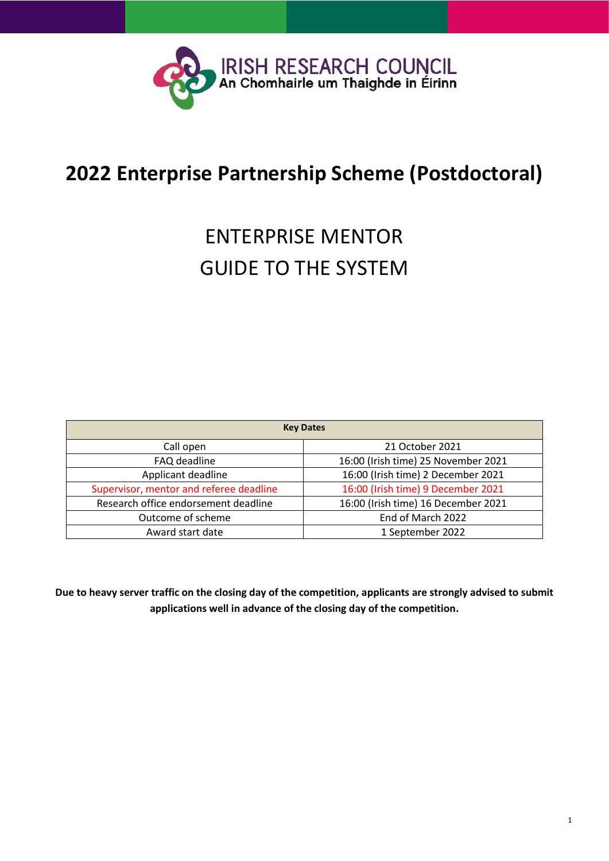

# **2022 Enterprise Partnership Scheme (Postdoctoral)**

# ENTERPRISE MENTOR GUIDE TO THE SYSTEM

| <b>Key Dates</b>                        |                                     |  |  |  |
|-----------------------------------------|-------------------------------------|--|--|--|
| Call open                               | 21 October 2021                     |  |  |  |
| FAQ deadline                            | 16:00 (Irish time) 25 November 2021 |  |  |  |
| Applicant deadline                      | 16:00 (Irish time) 2 December 2021  |  |  |  |
| Supervisor, mentor and referee deadline | 16:00 (Irish time) 9 December 2021  |  |  |  |
| Research office endorsement deadline    | 16:00 (Irish time) 16 December 2021 |  |  |  |
| Outcome of scheme                       | End of March 2022                   |  |  |  |
| Award start date                        | 1 September 2022                    |  |  |  |

**Due to heavy server traffic on the closing day of the competition, applicants are strongly advised to submit applications well in advance of the closing day of the competition.**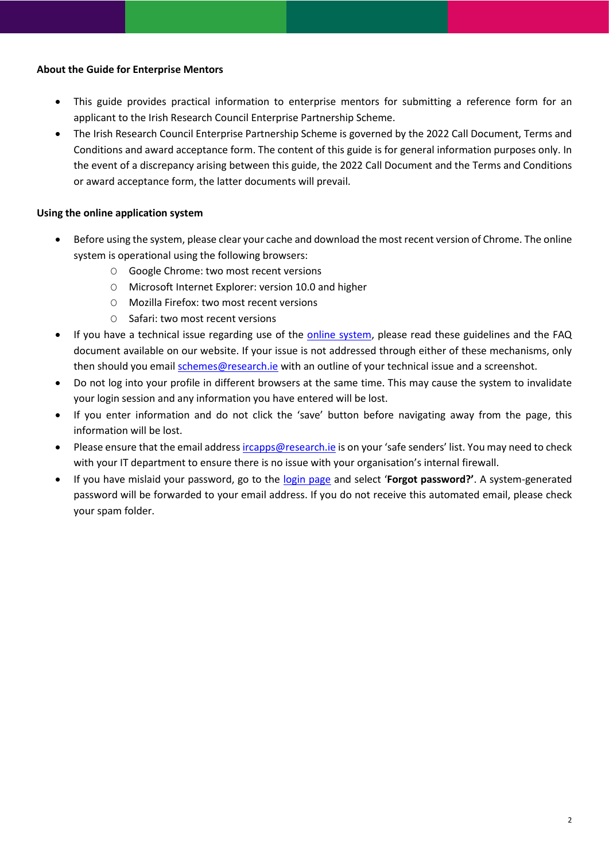### **About the Guide for Enterprise Mentors**

- This guide provides practical information to enterprise mentors for submitting a reference form for an applicant to the Irish Research Council Enterprise Partnership Scheme.
- The Irish Research Council Enterprise Partnership Scheme is governed by the 2022 Call Document, Terms and Conditions and award acceptance form. The content of this guide is for general information purposes only. In the event of a discrepancy arising between this guide, the 2022 Call Document and the Terms and Conditions or award acceptance form, the latter documents will prevail.

## **Using the online application system**

- Before using the system, please clear your cache and download the most recent version of Chrome. The online system is operational using the following browsers:
	- O Google Chrome: two most recent versions
	- O Microsoft Internet Explorer: version 10.0 and higher
	- O Mozilla Firefox: two most recent versions
	- O Safari: two most recent versions
- If you have a technical issue regarding use of the [online system,](https://irishresearch.smartsimple.ie/s_Login.jsp) please read these guidelines and the FAQ document available on our website. If your issue is not addressed through either of these mechanisms, only then should you email [schemes@research.ie](mailto:schemes@research.ie) with an outline of your technical issue and a screenshot.
- Do not log into your profile in different browsers at the same time. This may cause the system to invalidate your login session and any information you have entered will be lost.
- If you enter information and do not click the 'save' button before navigating away from the page, this information will be lost.
- Please ensure that the email address [ircapps@research.ie](mailto:ircapps@research.ie) is on your 'safe senders' list. You may need to check with your IT department to ensure there is no issue with your organisation's internal firewall.
- If you have mislaid your password, go to the [login page](https://irishresearch.smartsimple.ie/s_Login.jsp) and select '**Forgot password?'**. A system-generated password will be forwarded to your email address. If you do not receive this automated email, please check your spam folder.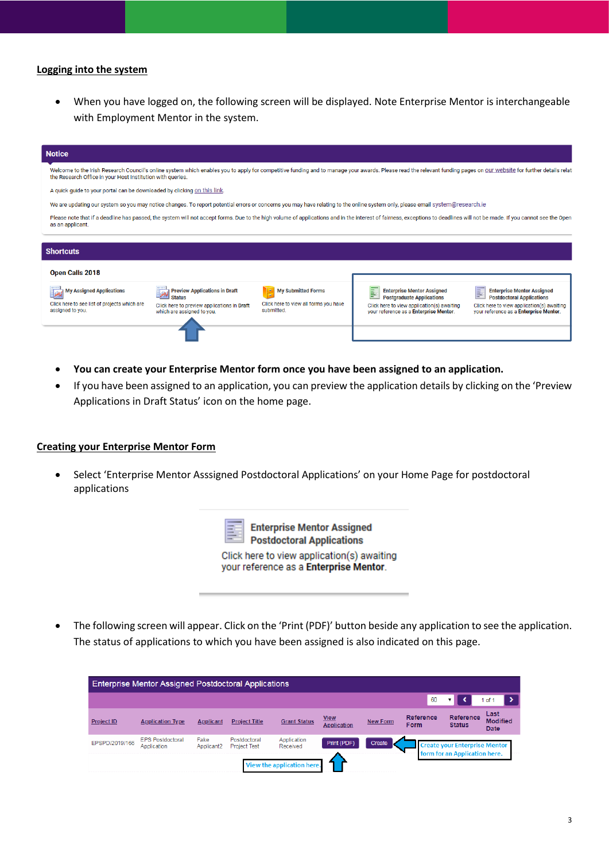#### **Logging into the system**

• When you have logged on, the following screen will be displayed. Note Enterprise Mentor is interchangeable with Employment Mentor in the system.

| <b>Notice</b>                                                                                                                                                                                                                                                                     |                                                                                                                                    |                                                                                  |                                                                                                                                                                               |                                                                                                                                                                    |  |  |
|-----------------------------------------------------------------------------------------------------------------------------------------------------------------------------------------------------------------------------------------------------------------------------------|------------------------------------------------------------------------------------------------------------------------------------|----------------------------------------------------------------------------------|-------------------------------------------------------------------------------------------------------------------------------------------------------------------------------|--------------------------------------------------------------------------------------------------------------------------------------------------------------------|--|--|
| Welcome to the Irish Research Council's online system which enables you to apply for competitive funding and to manage your awards. Please read the relevant funding pages on our website for further details relat<br>the Research Office in your Host Institution with queries. |                                                                                                                                    |                                                                                  |                                                                                                                                                                               |                                                                                                                                                                    |  |  |
|                                                                                                                                                                                                                                                                                   | A quick guide to your portal can be downloaded by clicking on this link.                                                           |                                                                                  |                                                                                                                                                                               |                                                                                                                                                                    |  |  |
|                                                                                                                                                                                                                                                                                   |                                                                                                                                    |                                                                                  | We are updating our system so you may notice changes. To report potential errors or concerns you may have relating to the online system only, please email system@research.ie |                                                                                                                                                                    |  |  |
| Please note that if a deadline has passed, the system will not accept forms. Due to the high volume of applications and in the interest of fairness, exceptions to deadlines will not be made. If you cannot see the Open<br>as an applicant.                                     |                                                                                                                                    |                                                                                  |                                                                                                                                                                               |                                                                                                                                                                    |  |  |
|                                                                                                                                                                                                                                                                                   |                                                                                                                                    |                                                                                  |                                                                                                                                                                               |                                                                                                                                                                    |  |  |
| <b>Shortcuts</b>                                                                                                                                                                                                                                                                  |                                                                                                                                    |                                                                                  |                                                                                                                                                                               |                                                                                                                                                                    |  |  |
| <b>Open Calls 2018</b>                                                                                                                                                                                                                                                            |                                                                                                                                    |                                                                                  |                                                                                                                                                                               |                                                                                                                                                                    |  |  |
| <b>My Assigned Applications</b><br>Click here to see list of projects which are<br>assigned to you.                                                                                                                                                                               | <b>Preview Applications in Draft</b><br><b>Status</b><br>Click here to preview applications in Draft<br>which are assigned to you. | <b>My Submitted Forms</b><br>Click here to view all forms you have<br>submitted. | <b>Enterprise Mentor Assigned</b><br>E<br><b>Postgraduate Applications</b><br>Click here to view application(s) awaiting<br>your reference as a Enterprise Mentor.            | <b>Enterprise Mentor Assigned</b><br>E<br><b>Postdoctoral Applications</b><br>Click here to view application(s) awaiting<br>your reference as a Enterprise Mentor. |  |  |
|                                                                                                                                                                                                                                                                                   |                                                                                                                                    |                                                                                  |                                                                                                                                                                               |                                                                                                                                                                    |  |  |

- **You can create your Enterprise Mentor form once you have been assigned to an application.**
- If you have been assigned to an application, you can preview the application details by clicking on the 'Preview Applications in Draft Status' icon on the home page.

#### **Creating your Enterprise Mentor Form**

• Select 'Enterprise Mentor Asssigned Postdoctoral Applications' on your Home Page for postdoctoral applications

**Enterprise Mentor Assigned Postdoctoral Applications** 

Click here to view application(s) awaiting your reference as a Enterprise Mentor.

• The following screen will appear. Click on the 'Print (PDF)' button beside any application to see the application. The status of applications to which you have been assigned is also indicated on this page.

| <b>Enterprise Mentor Assigned Postdoctoral Applications</b> |                                        |                                |                                     |                         |                                   |                 |                                 |                                      |                                 |
|-------------------------------------------------------------|----------------------------------------|--------------------------------|-------------------------------------|-------------------------|-----------------------------------|-----------------|---------------------------------|--------------------------------------|---------------------------------|
|                                                             |                                        |                                |                                     |                         |                                   |                 | 60                              |                                      | of 1                            |
| <b>Project ID</b>                                           | <b>Application Type</b>                | Applicant                      | <b>Project Title</b>                | <b>Grant Status</b>     | <b>View</b><br><b>Application</b> | <b>New Form</b> | <b>Reference</b><br><b>Form</b> | Reference<br><b>Status</b>           | Last<br><b>Modified</b><br>Date |
| EPSPD/2019/166                                              | <b>EPS Postdoctoral</b><br>Application | Fake<br>Applicant <sub>2</sub> | Postdoctoral<br><b>Project Test</b> | Application<br>Received | Print (PDF)                       | Create          |                                 | <b>Create your Enterprise Mentor</b> |                                 |
| form for an Application here.<br>View the application here. |                                        |                                |                                     |                         |                                   |                 |                                 |                                      |                                 |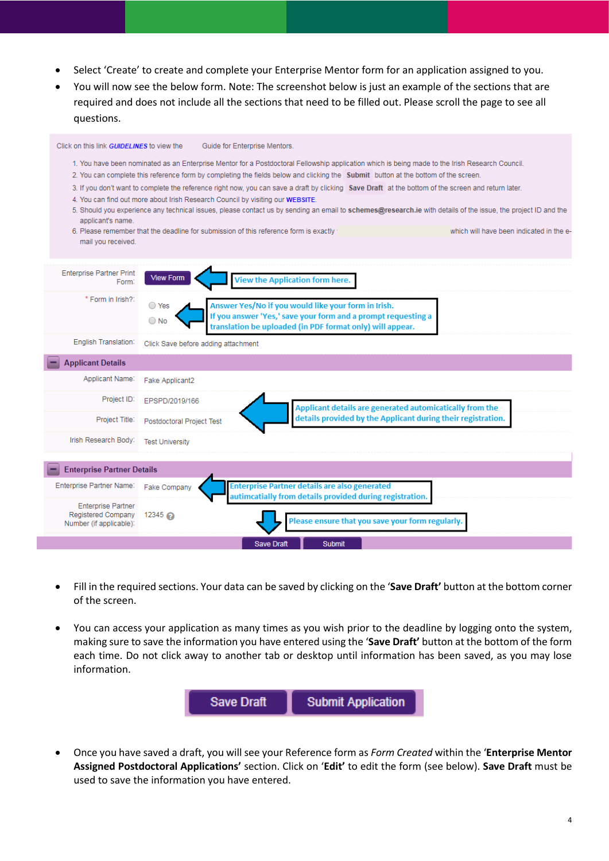- Select 'Create' to create and complete your Enterprise Mentor form for an application assigned to you.
- You will now see the below form. Note: The screenshot below is just an example of the sections that are required and does not include all the sections that need to be filled out. Please scroll the page to see all questions.



- Fill in the required sections. Your data can be saved by clicking on the '**Save Draft'** button at the bottom corner of the screen.
- You can access your application as many times as you wish prior to the deadline by logging onto the system, making sure to save the information you have entered using the '**Save Draft'** button at the bottom of the form each time. Do not click away to another tab or desktop until information has been saved, as you may lose information.



• Once you have saved a draft, you will see your Reference form as *Form Created* within the '**Enterprise Mentor Assigned Postdoctoral Applications'** section. Click on '**Edit'** to edit the form (see below). **Save Draft** must be used to save the information you have entered.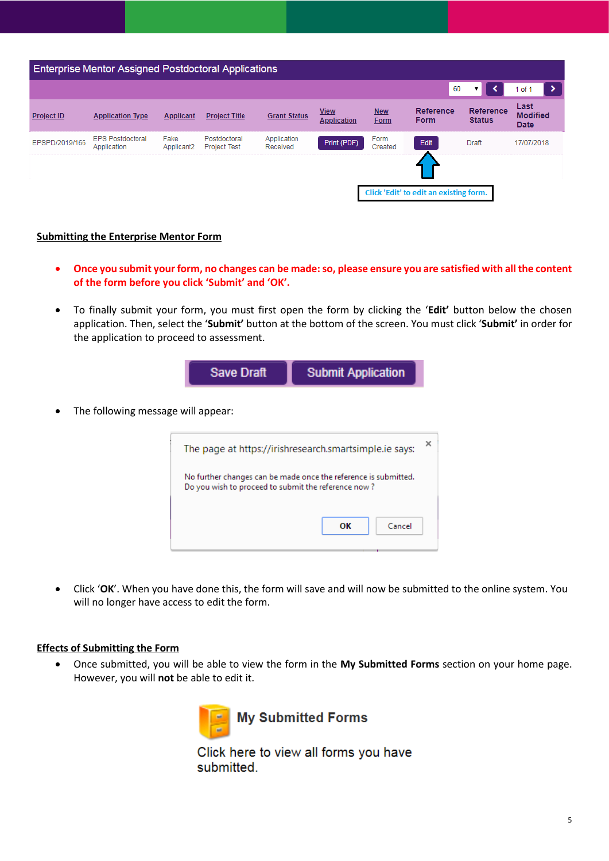

#### **Submitting the Enterprise Mentor Form**

- **Once you submit your form, no changes can be made:so, please ensure you are satisfied with all the content of the form before you click 'Submit' and 'OK'.**
- To finally submit your form, you must first open the form by clicking the '**Edit'** button below the chosen application. Then, select the '**Submit'** button at the bottom of the screen. You must click '**Submit'** in order for the application to proceed to assessment.

|                                    | <b>Save Draft</b>                                                                                                      | <b>Submit Application</b> |  |  |
|------------------------------------|------------------------------------------------------------------------------------------------------------------------|---------------------------|--|--|
| The following message will appear: |                                                                                                                        |                           |  |  |
|                                    | ×<br>The page at https://irishresearch.smartsimple.ie says:                                                            |                           |  |  |
|                                    | No further changes can be made once the reference is submitted.<br>Do you wish to proceed to submit the reference now? |                           |  |  |
|                                    |                                                                                                                        | OК<br>Cancel              |  |  |

• Click '**OK**'. When you have done this, the form will save and will now be submitted to the online system. You will no longer have access to edit the form.

#### **Effects of Submitting the Form**

• Once submitted, you will be able to view the form in the **My Submitted Forms** section on your home page. However, you will **not** be able to edit it.



Click here to view all forms you have submitted.